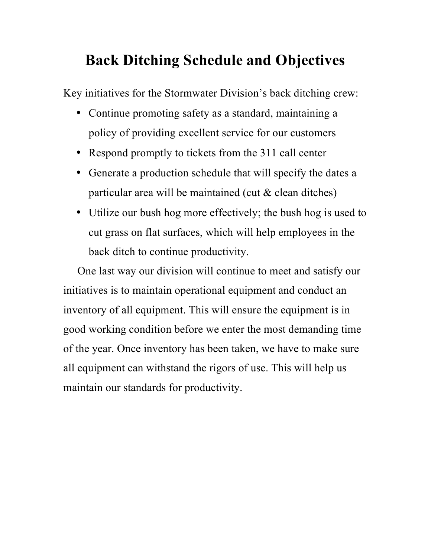# **Back Ditching Schedule and Objectives**

Key initiatives for the Stormwater Division's back ditching crew:

- Continue promoting safety as a standard, maintaining a policy of providing excellent service for our customers
- Respond promptly to tickets from the 311 call center
- Generate a production schedule that will specify the dates a particular area will be maintained (cut & clean ditches)
- Utilize our bush hog more effectively; the bush hog is used to cut grass on flat surfaces, which will help employees in the back ditch to continue productivity.

 One last way our division will continue to meet and satisfy our initiatives is to maintain operational equipment and conduct an inventory of all equipment. This will ensure the equipment is in good working condition before we enter the most demanding time of the year. Once inventory has been taken, we have to make sure all equipment can withstand the rigors of use. This will help us maintain our standards for productivity.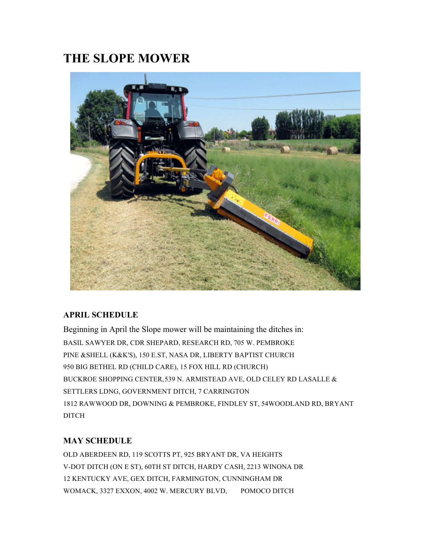# **THE SLOPE MOWER**



#### **APRIL SCHEDULE**

Beginning in April the Slope mower will be maintaining the ditches in: BASIL SAWYER DR, CDR SHEPARD, RESEARCH RD, 705 W. PEMBROKE PINE &SHELL (K&K'S), 150 E.ST, NASA DR, LIBERTY BAPTIST CHURCH 950 BIG BETHEL RD (CHILD CARE), 15 FOX HILL RD (CHURCH) BUCKROE SHOPPING CENTER,539 N. ARMISTEAD AVE, OLD CELEY RD LASALLE & SETTLERS LDNG, GOVERNMENT DITCH, 7 CARRINGTON 1812 RAWWOOD DR, DOWNING & PEMBROKE, FINDLEY ST, 54WOODLAND RD, BRYANT DITCH

### **MAY SCHEDULE**

OLD ABERDEEN RD, 119 SCOTTS PT, 925 BRYANT DR, VA HEIGHTS V-DOT DITCH (ON E ST), 60TH ST DITCH, HARDY CASH, 2213 WINONA DR 12 KENTUCKY AVE, GEX DITCH, FARMINGTON, CUNNINGHAM DR WOMACK, 3327 EXXON, 4002 W. MERCURY BLVD, POMOCO DITCH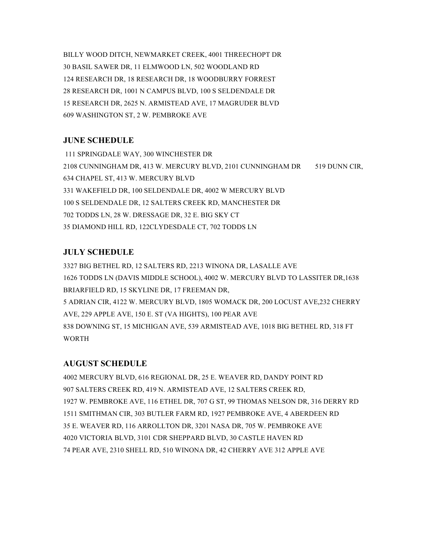BILLY WOOD DITCH, NEWMARKET CREEK, 4001 THREECHOPT DR 30 BASIL SAWER DR, 11 ELMWOOD LN, 502 WOODLAND RD 124 RESEARCH DR, 18 RESEARCH DR, 18 WOODBURRY FORREST 28 RESEARCH DR, 1001 N CAMPUS BLVD, 100 S SELDENDALE DR 15 RESEARCH DR, 2625 N. ARMISTEAD AVE, 17 MAGRUDER BLVD 609 WASHINGTON ST, 2 W. PEMBROKE AVE

#### **JUNE SCHEDULE**

111 SPRINGDALE WAY, 300 WINCHESTER DR 2108 CUNNINGHAM DR, 413 W. MERCURY BLVD, 2101 CUNNINGHAM DR 519 DUNN CIR, 634 CHAPEL ST, 413 W. MERCURY BLVD 331 WAKEFIELD DR, 100 SELDENDALE DR, 4002 W MERCURY BLVD 100 S SELDENDALE DR, 12 SALTERS CREEK RD, MANCHESTER DR 702 TODDS LN, 28 W. DRESSAGE DR, 32 E. BIG SKY CT 35 DIAMOND HILL RD, 122CLYDESDALE CT, 702 TODDS LN

#### **JULY SCHEDULE**

3327 BIG BETHEL RD, 12 SALTERS RD, 2213 WINONA DR, LASALLE AVE 1626 TODDS LN (DAVIS MIDDLE SCHOOL), 4002 W. MERCURY BLVD TO LASSITER DR,1638 BRIARFIELD RD, 15 SKYLINE DR, 17 FREEMAN DR, 5 ADRIAN CIR, 4122 W. MERCURY BLVD, 1805 WOMACK DR, 200 LOCUST AVE,232 CHERRY AVE, 229 APPLE AVE, 150 E. ST (VA HIGHTS), 100 PEAR AVE 838 DOWNING ST, 15 MICHIGAN AVE, 539 ARMISTEAD AVE, 1018 BIG BETHEL RD, 318 FT **WORTH** 

#### **AUGUST SCHEDULE**

4002 MERCURY BLVD, 616 REGIONAL DR, 25 E. WEAVER RD, DANDY POINT RD 907 SALTERS CREEK RD, 419 N. ARMISTEAD AVE, 12 SALTERS CREEK RD, 1927 W. PEMBROKE AVE, 116 ETHEL DR, 707 G ST, 99 THOMAS NELSON DR, 316 DERRY RD 1511 SMITHMAN CIR, 303 BUTLER FARM RD, 1927 PEMBROKE AVE, 4 ABERDEEN RD 35 E. WEAVER RD, 116 ARROLLTON DR, 3201 NASA DR, 705 W. PEMBROKE AVE 4020 VICTORIA BLVD, 3101 CDR SHEPPARD BLVD, 30 CASTLE HAVEN RD 74 PEAR AVE, 2310 SHELL RD, 510 WINONA DR, 42 CHERRY AVE 312 APPLE AVE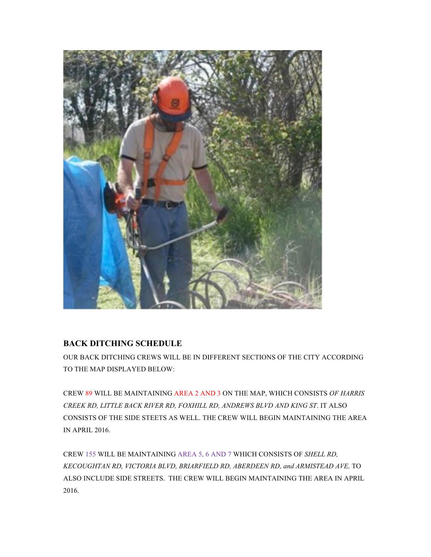

#### **BACK DITCHING SCHEDULE**

OUR BACK DITCHING CREWS WILL BE IN DIFFERENT SECTIONS OF THE CITY ACCORDING TO THE MAP DISPLAYED BELOW:

CREW 89 WILL BE MAINTAINING AREA 2 AND 3 ON THE MAP, WHICH CONSISTS *OF HARRIS CREEK RD, LITTLE BACK RIVER RD, FOXHILL RD, ANDREWS BLVD AND KING ST*. IT ALSO CONSISTS OF THE SIDE STEETS AS WELL. THE CREW WILL BEGIN MAINTAINING THE AREA IN APRIL 2016.

CREW 155 WILL BE MAINTAINING AREA 5, 6 AND 7 WHICH CONSISTS OF *SHELL RD, KECOUGHTAN RD, VICTORIA BLVD, BRIARFIELD RD, ABERDEEN RD, and ARMISTEAD AVE,* TO ALSO INCLUDE SIDE STREETS. THE CREW WILL BEGIN MAINTAINING THE AREA IN APRIL 2016.